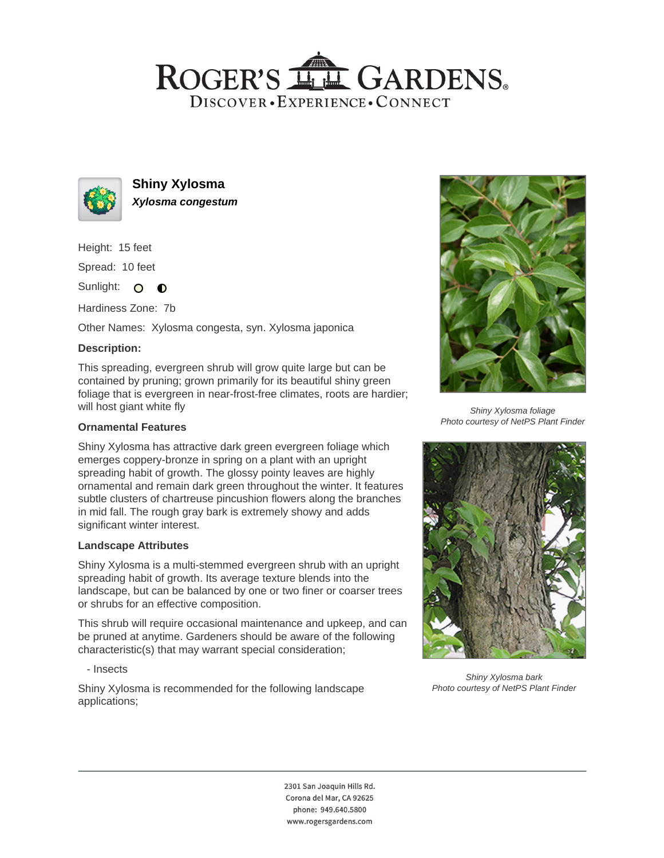## ROGER'S LL GARDENS. DISCOVER · EXPERIENCE · CONNECT



**Shiny Xylosma Xylosma congestum**

Height: 15 feet

Spread: 10 feet

Sunlight: O **O** 

Hardiness Zone: 7b

Other Names: Xylosma congesta, syn. Xylosma japonica

### **Description:**

This spreading, evergreen shrub will grow quite large but can be contained by pruning; grown primarily for its beautiful shiny green foliage that is evergreen in near-frost-free climates, roots are hardier; will host giant white fly

#### **Ornamental Features**

Shiny Xylosma has attractive dark green evergreen foliage which emerges coppery-bronze in spring on a plant with an upright spreading habit of growth. The glossy pointy leaves are highly ornamental and remain dark green throughout the winter. It features subtle clusters of chartreuse pincushion flowers along the branches in mid fall. The rough gray bark is extremely showy and adds significant winter interest.

#### **Landscape Attributes**

Shiny Xylosma is a multi-stemmed evergreen shrub with an upright spreading habit of growth. Its average texture blends into the landscape, but can be balanced by one or two finer or coarser trees or shrubs for an effective composition.

This shrub will require occasional maintenance and upkeep, and can be pruned at anytime. Gardeners should be aware of the following characteristic(s) that may warrant special consideration;

- Insects

Shiny Xylosma is recommended for the following landscape applications;



Shiny Xylosma foliage Photo courtesy of NetPS Plant Finder



Shiny Xylosma bark Photo courtesy of NetPS Plant Finder

2301 San Joaquin Hills Rd. Corona del Mar, CA 92625 phone: 949.640.5800 www.rogersgardens.com